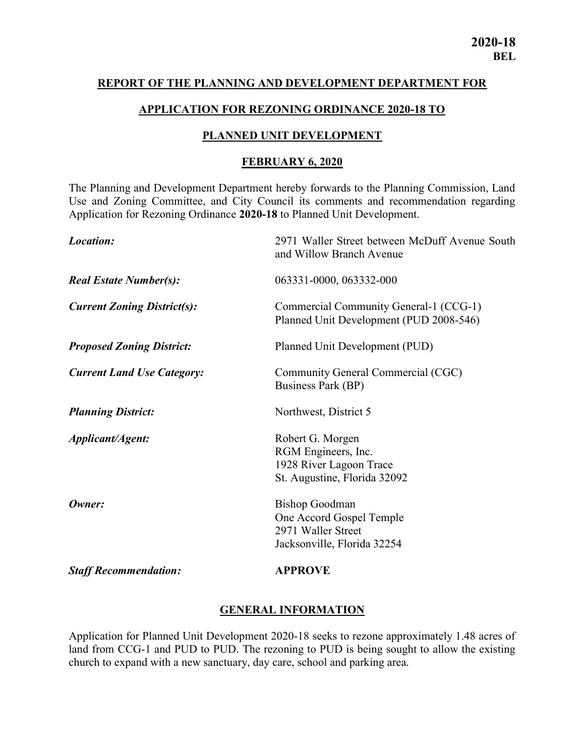#### REPORT OF THE PLANNING AND DEVELOPMENT DEPARTMENT FOR

#### APPLICATION FOR REZONING ORDINANCE 2020-18 TO

#### PLANNED UNIT DEVELOPMENT

#### FEBRUARY 6, 2020

The Planning and Development Department hereby forwards to the Planning Commission, Land Use and Zoning Committee, and City Council its comments and recommendation regarding Application for Rezoning Ordinance 2020-18 to Planned Unit Development.

| Location:                          | 2971 Waller Street between McDuff Avenue South<br>and Willow Branch Avenue                             |
|------------------------------------|--------------------------------------------------------------------------------------------------------|
| <b>Real Estate Number(s):</b>      | 063331-0000, 063332-000                                                                                |
| <b>Current Zoning District(s):</b> | Commercial Community General-1 (CCG-1)<br>Planned Unit Development (PUD 2008-546)                      |
| <b>Proposed Zoning District:</b>   | Planned Unit Development (PUD)                                                                         |
| <b>Current Land Use Category:</b>  | Community General Commercial (CGC)<br>Business Park (BP)                                               |
| <b>Planning District:</b>          | Northwest, District 5                                                                                  |
| Applicant/Agent:                   | Robert G. Morgen<br>RGM Engineers, Inc.<br>1928 River Lagoon Trace<br>St. Augustine, Florida 32092     |
| Owner:                             | <b>Bishop Goodman</b><br>One Accord Gospel Temple<br>2971 Waller Street<br>Jacksonville, Florida 32254 |
| <b>Staff Recommendation:</b>       | <b>APPROVE</b>                                                                                         |

### GENERAL INFORMATION

Application for Planned Unit Development 2020-18 seeks to rezone approximately 1.48 acres of land from CCG-1 and PUD to PUD. The rezoning to PUD is being sought to allow the existing church to expand with a new sanctuary, day care, school and parking area.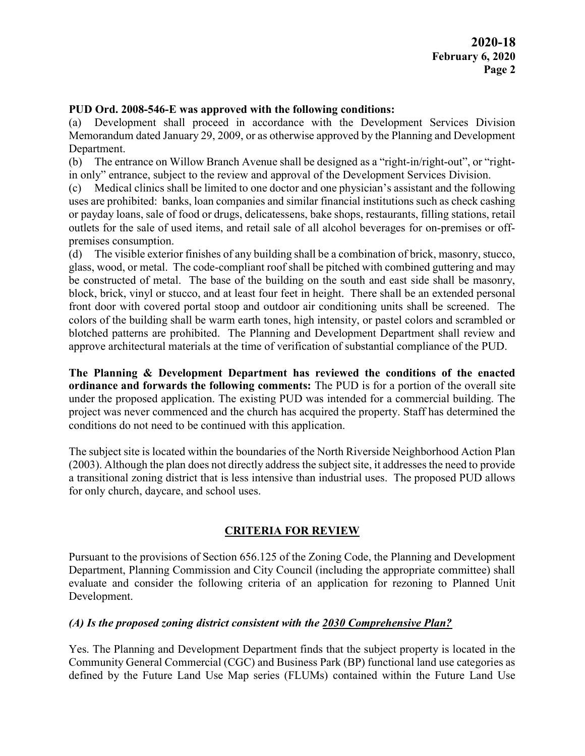### PUD Ord. 2008-546-E was approved with the following conditions:

(a) Development shall proceed in accordance with the Development Services Division Memorandum dated January 29, 2009, or as otherwise approved by the Planning and Development Department.

(b) The entrance on Willow Branch Avenue shall be designed as a "right-in/right-out", or "rightin only" entrance, subject to the review and approval of the Development Services Division.

(c) Medical clinics shall be limited to one doctor and one physician's assistant and the following uses are prohibited: banks, loan companies and similar financial institutions such as check cashing or payday loans, sale of food or drugs, delicatessens, bake shops, restaurants, filling stations, retail outlets for the sale of used items, and retail sale of all alcohol beverages for on-premises or offpremises consumption.

(d) The visible exterior finishes of any building shall be a combination of brick, masonry, stucco, glass, wood, or metal. The code-compliant roof shall be pitched with combined guttering and may be constructed of metal. The base of the building on the south and east side shall be masonry, block, brick, vinyl or stucco, and at least four feet in height. There shall be an extended personal front door with covered portal stoop and outdoor air conditioning units shall be screened. The colors of the building shall be warm earth tones, high intensity, or pastel colors and scrambled or blotched patterns are prohibited. The Planning and Development Department shall review and approve architectural materials at the time of verification of substantial compliance of the PUD.

The Planning & Development Department has reviewed the conditions of the enacted ordinance and forwards the following comments: The PUD is for a portion of the overall site under the proposed application. The existing PUD was intended for a commercial building. The project was never commenced and the church has acquired the property. Staff has determined the conditions do not need to be continued with this application.

The subject site is located within the boundaries of the North Riverside Neighborhood Action Plan (2003). Although the plan does not directly address the subject site, it addresses the need to provide a transitional zoning district that is less intensive than industrial uses. The proposed PUD allows for only church, daycare, and school uses.

## CRITERIA FOR REVIEW

Pursuant to the provisions of Section 656.125 of the Zoning Code, the Planning and Development Department, Planning Commission and City Council (including the appropriate committee) shall evaluate and consider the following criteria of an application for rezoning to Planned Unit Development.

## (A) Is the proposed zoning district consistent with the  $2030$  Comprehensive Plan?

Yes. The Planning and Development Department finds that the subject property is located in the Community General Commercial (CGC) and Business Park (BP) functional land use categories as defined by the Future Land Use Map series (FLUMs) contained within the Future Land Use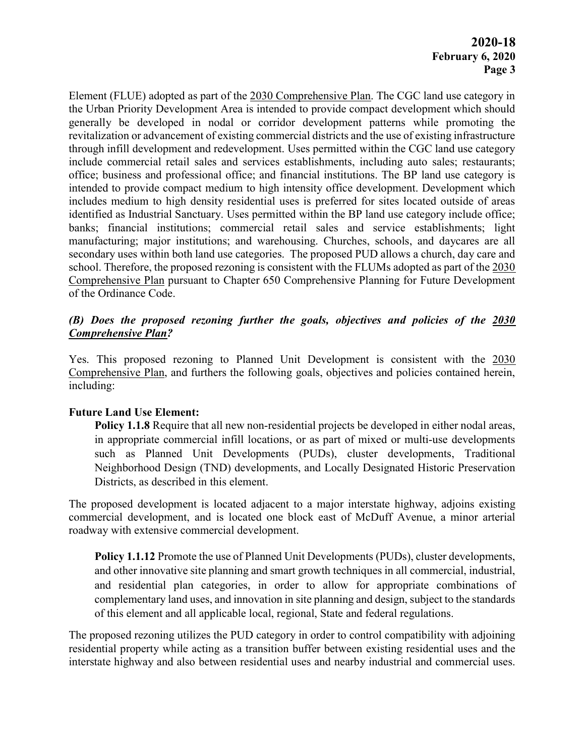Element (FLUE) adopted as part of the 2030 Comprehensive Plan. The CGC land use category in the Urban Priority Development Area is intended to provide compact development which should generally be developed in nodal or corridor development patterns while promoting the revitalization or advancement of existing commercial districts and the use of existing infrastructure through infill development and redevelopment. Uses permitted within the CGC land use category include commercial retail sales and services establishments, including auto sales; restaurants; office; business and professional office; and financial institutions. The BP land use category is intended to provide compact medium to high intensity office development. Development which includes medium to high density residential uses is preferred for sites located outside of areas identified as Industrial Sanctuary. Uses permitted within the BP land use category include office; banks; financial institutions; commercial retail sales and service establishments; light manufacturing; major institutions; and warehousing. Churches, schools, and daycares are all secondary uses within both land use categories. The proposed PUD allows a church, day care and school. Therefore, the proposed rezoning is consistent with the FLUMs adopted as part of the 2030 Comprehensive Plan pursuant to Chapter 650 Comprehensive Planning for Future Development of the Ordinance Code.

## (B) Does the proposed rezoning further the goals, objectives and policies of the 2030 Comprehensive Plan?

Yes. This proposed rezoning to Planned Unit Development is consistent with the 2030 Comprehensive Plan, and furthers the following goals, objectives and policies contained herein, including:

## Future Land Use Element:

Policy 1.1.8 Require that all new non-residential projects be developed in either nodal areas, in appropriate commercial infill locations, or as part of mixed or multi-use developments such as Planned Unit Developments (PUDs), cluster developments, Traditional Neighborhood Design (TND) developments, and Locally Designated Historic Preservation Districts, as described in this element.

The proposed development is located adjacent to a major interstate highway, adjoins existing commercial development, and is located one block east of McDuff Avenue, a minor arterial roadway with extensive commercial development.

Policy 1.1.12 Promote the use of Planned Unit Developments (PUDs), cluster developments, and other innovative site planning and smart growth techniques in all commercial, industrial, and residential plan categories, in order to allow for appropriate combinations of complementary land uses, and innovation in site planning and design, subject to the standards of this element and all applicable local, regional, State and federal regulations.

The proposed rezoning utilizes the PUD category in order to control compatibility with adjoining residential property while acting as a transition buffer between existing residential uses and the interstate highway and also between residential uses and nearby industrial and commercial uses.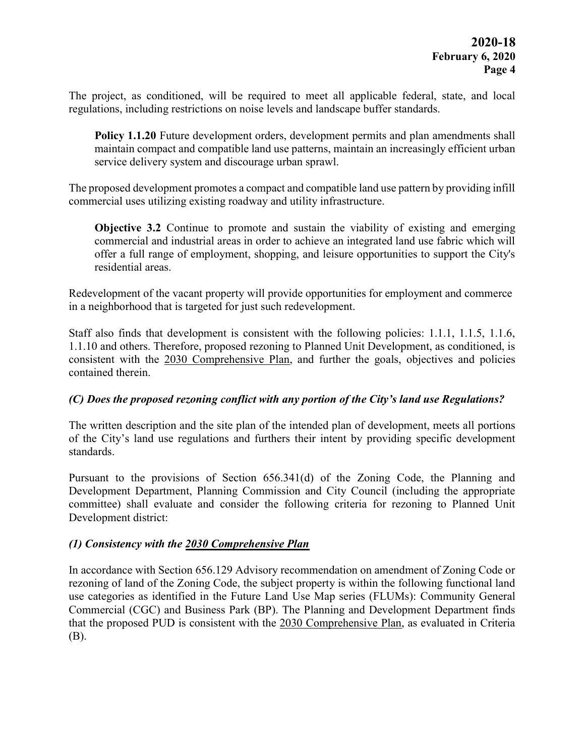The project, as conditioned, will be required to meet all applicable federal, state, and local regulations, including restrictions on noise levels and landscape buffer standards.

Policy 1.1.20 Future development orders, development permits and plan amendments shall maintain compact and compatible land use patterns, maintain an increasingly efficient urban service delivery system and discourage urban sprawl.

The proposed development promotes a compact and compatible land use pattern by providing infill commercial uses utilizing existing roadway and utility infrastructure.

Objective 3.2 Continue to promote and sustain the viability of existing and emerging commercial and industrial areas in order to achieve an integrated land use fabric which will offer a full range of employment, shopping, and leisure opportunities to support the City's residential areas.

Redevelopment of the vacant property will provide opportunities for employment and commerce in a neighborhood that is targeted for just such redevelopment.

Staff also finds that development is consistent with the following policies: 1.1.1, 1.1.5, 1.1.6, 1.1.10 and others. Therefore, proposed rezoning to Planned Unit Development, as conditioned, is consistent with the 2030 Comprehensive Plan, and further the goals, objectives and policies contained therein.

## (C) Does the proposed rezoning conflict with any portion of the City's land use Regulations?

The written description and the site plan of the intended plan of development, meets all portions of the City's land use regulations and furthers their intent by providing specific development standards.

Pursuant to the provisions of Section 656.341(d) of the Zoning Code, the Planning and Development Department, Planning Commission and City Council (including the appropriate committee) shall evaluate and consider the following criteria for rezoning to Planned Unit Development district:

## (1) Consistency with the 2030 Comprehensive Plan

In accordance with Section 656.129 Advisory recommendation on amendment of Zoning Code or rezoning of land of the Zoning Code, the subject property is within the following functional land use categories as identified in the Future Land Use Map series (FLUMs): Community General Commercial (CGC) and Business Park (BP). The Planning and Development Department finds that the proposed PUD is consistent with the 2030 Comprehensive Plan, as evaluated in Criteria (B).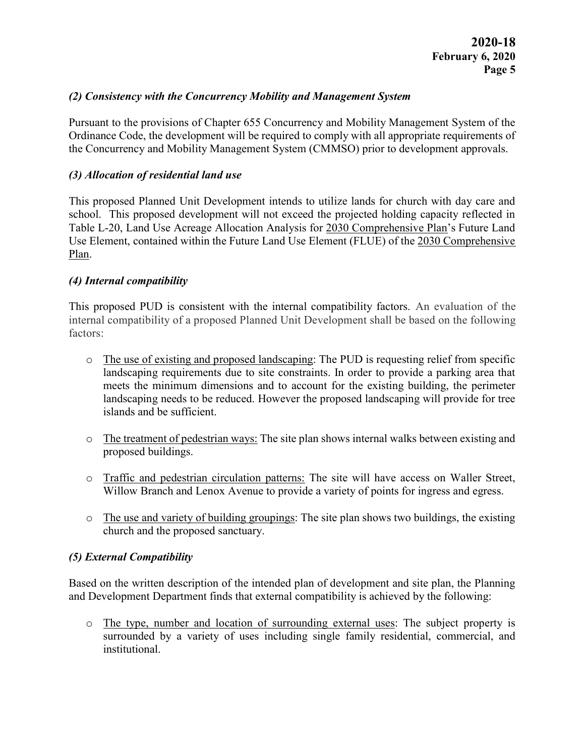### (2) Consistency with the Concurrency Mobility and Management System

Pursuant to the provisions of Chapter 655 Concurrency and Mobility Management System of the Ordinance Code, the development will be required to comply with all appropriate requirements of the Concurrency and Mobility Management System (CMMSO) prior to development approvals.

### (3) Allocation of residential land use

This proposed Planned Unit Development intends to utilize lands for church with day care and school. This proposed development will not exceed the projected holding capacity reflected in Table L-20, Land Use Acreage Allocation Analysis for 2030 Comprehensive Plan's Future Land Use Element, contained within the Future Land Use Element (FLUE) of the 2030 Comprehensive Plan.

### (4) Internal compatibility

This proposed PUD is consistent with the internal compatibility factors. An evaluation of the internal compatibility of a proposed Planned Unit Development shall be based on the following factors:

- o The use of existing and proposed landscaping: The PUD is requesting relief from specific landscaping requirements due to site constraints. In order to provide a parking area that meets the minimum dimensions and to account for the existing building, the perimeter landscaping needs to be reduced. However the proposed landscaping will provide for tree islands and be sufficient.
- o The treatment of pedestrian ways: The site plan shows internal walks between existing and proposed buildings.
- o Traffic and pedestrian circulation patterns: The site will have access on Waller Street, Willow Branch and Lenox Avenue to provide a variety of points for ingress and egress.
- o The use and variety of building groupings: The site plan shows two buildings, the existing church and the proposed sanctuary.

## (5) External Compatibility

Based on the written description of the intended plan of development and site plan, the Planning and Development Department finds that external compatibility is achieved by the following:

o The type, number and location of surrounding external uses: The subject property is surrounded by a variety of uses including single family residential, commercial, and institutional.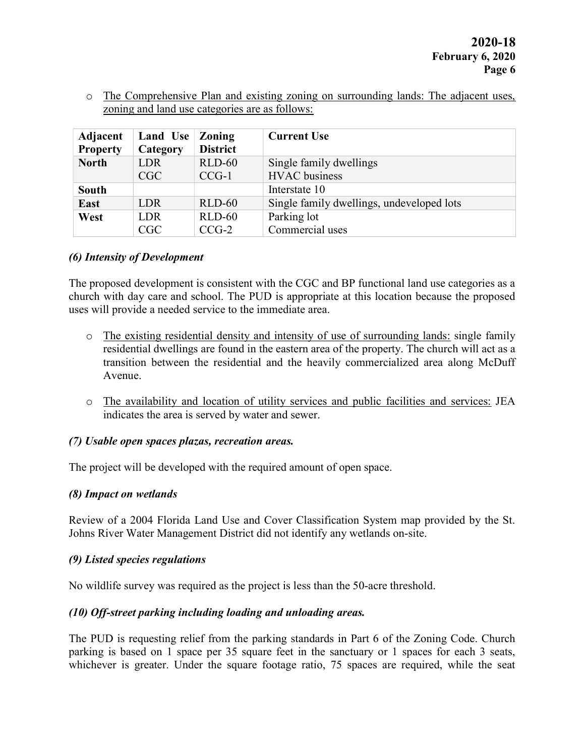o The Comprehensive Plan and existing zoning on surrounding lands: The adjacent uses, zoning and land use categories are as follows:

| <b>Adjacent</b><br><b>Property</b> | Land Use<br>Category | <b>Zoning</b><br><b>District</b> | <b>Current Use</b>                        |
|------------------------------------|----------------------|----------------------------------|-------------------------------------------|
| <b>North</b>                       | LDR                  | $RLD-60$                         | Single family dwellings                   |
|                                    | CGC                  | $CCG-1$                          | <b>HVAC</b> business                      |
| <b>South</b>                       |                      |                                  | Interstate 10                             |
| East                               | LDR                  | $RLD-60$                         | Single family dwellings, undeveloped lots |
| West                               | <b>LDR</b>           | $RLD-60$                         | Parking lot                               |
|                                    | CGC                  | $CCG-2$                          | Commercial uses                           |

## (6) Intensity of Development

The proposed development is consistent with the CGC and BP functional land use categories as a church with day care and school. The PUD is appropriate at this location because the proposed uses will provide a needed service to the immediate area.

- o The existing residential density and intensity of use of surrounding lands: single family residential dwellings are found in the eastern area of the property. The church will act as a transition between the residential and the heavily commercialized area along McDuff Avenue.
- o The availability and location of utility services and public facilities and services: JEA indicates the area is served by water and sewer.

## (7) Usable open spaces plazas, recreation areas.

The project will be developed with the required amount of open space.

### (8) Impact on wetlands

Review of a 2004 Florida Land Use and Cover Classification System map provided by the St. Johns River Water Management District did not identify any wetlands on-site.

## (9) Listed species regulations

No wildlife survey was required as the project is less than the 50-acre threshold.

## (10) Off-street parking including loading and unloading areas.

The PUD is requesting relief from the parking standards in Part 6 of the Zoning Code. Church parking is based on 1 space per 35 square feet in the sanctuary or 1 spaces for each 3 seats, whichever is greater. Under the square footage ratio, 75 spaces are required, while the seat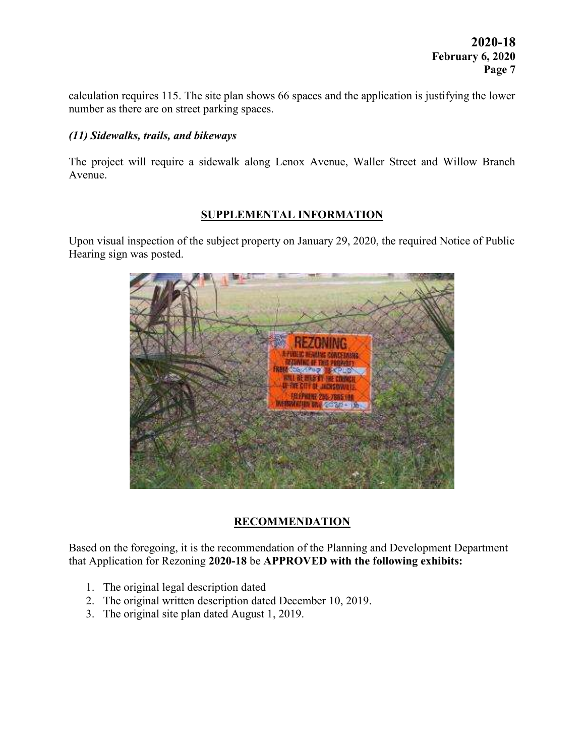calculation requires 115. The site plan shows 66 spaces and the application is justifying the lower number as there are on street parking spaces.

### (11) Sidewalks, trails, and bikeways

The project will require a sidewalk along Lenox Avenue, Waller Street and Willow Branch Avenue.

## SUPPLEMENTAL INFORMATION

Upon visual inspection of the subject property on January 29, 2020, the required Notice of Public Hearing sign was posted.



# **RECOMMENDATION**

Based on the foregoing, it is the recommendation of the Planning and Development Department that Application for Rezoning 2020-18 be APPROVED with the following exhibits:

- 1. The original legal description dated
- 2. The original written description dated December 10, 2019.
- 3. The original site plan dated August 1, 2019.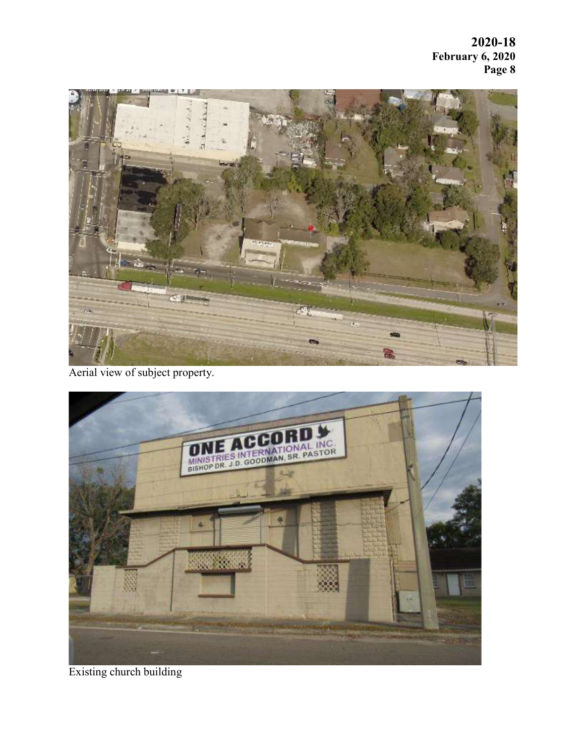2020-18 February 6, 2020 Page 8



Aerial view of subject property.



Existing church building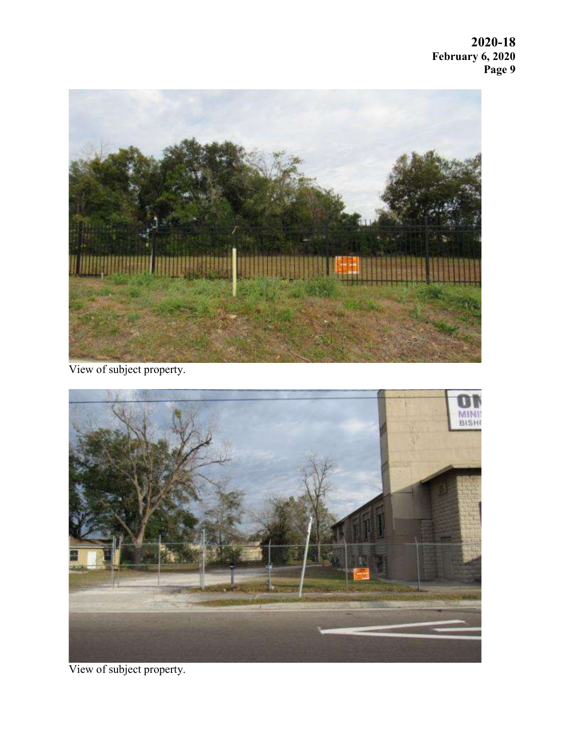2020-18 February 6, 2020 Page 9



View of subject property.



View of subject property.